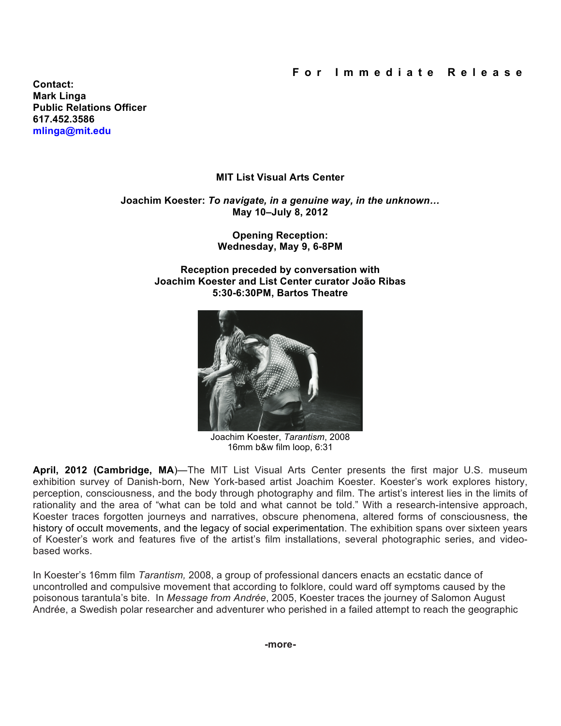**Contact: Mark Linga Public Relations Officer [617.452.3586](tel:6174523586) [mlinga@mit.edu](mailto:mlinga@mit.edu)**

# **MIT List Visual Arts Center**

## **Joachim Koester:** *To navigate, in a genuine way, in the unknown…* **May 10–July 8, 2012**

**Opening Reception: Wednesday, May 9, 6-8PM**

**Reception preceded by conversation with Joachim Koester and List Center curator João Ribas 5:30-6:30PM, Bartos Theatre**



Joachim Koester, *Tarantism*, 2008 16mm b&w film loop, 6:31

**April, 2012 (Cambridge, MA**)—The MIT List Visual Arts Center presents the first major U.S. museum exhibition survey of Danish-born, New York-based artist Joachim Koester. Koester's work explores history, perception, consciousness, and the body through photography and film. The artist's interest lies in the limits of rationality and the area of "what can be told and what cannot be told." With a research-intensive approach, Koester traces forgotten journeys and narratives, obscure phenomena, altered forms of consciousness, the history of occult movements, and the legacy of social experimentation. The exhibition spans over sixteen years of Koester's work and features five of the artist's film installations, several photographic series, and videobased works.

In Koester's 16mm film *Tarantism,* 2008, a group of professional dancers enacts an ecstatic dance of uncontrolled and compulsive movement that according to folklore, could ward off symptoms caused by the poisonous tarantula's bite. In *Message from Andrée*, 2005, Koester traces the journey of Salomon August Andrée, a Swedish polar researcher and adventurer who perished in a failed attempt to reach the geographic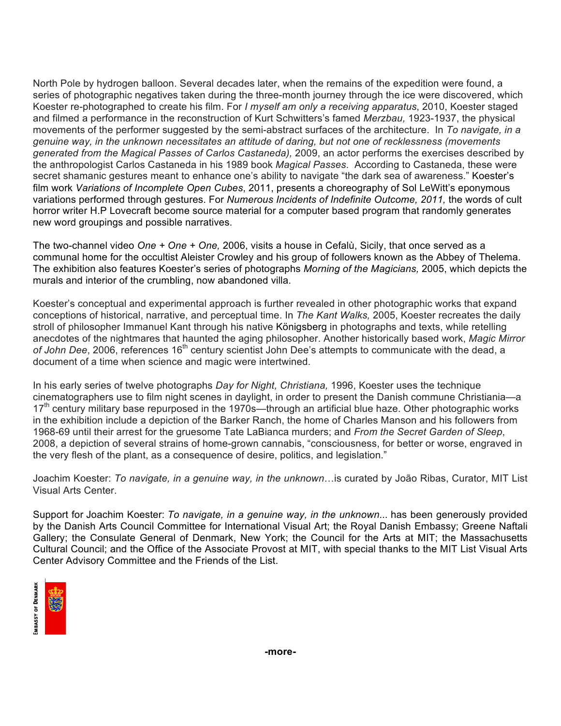North Pole by hydrogen balloon. Several decades later, when the remains of the expedition were found, a series of photographic negatives taken during the three-month journey through the ice were discovered, which Koester re-photographed to create his film. For *I myself am only a receiving apparatus*, 2010, Koester staged and filmed a performance in the reconstruction of Kurt Schwitters's famed *Merzbau,* 1923-1937, the physical movements of the performer suggested by the semi-abstract surfaces of the architecture. In *To navigate, in a genuine way, in the unknown necessitates an attitude of daring, but not one of recklessness (movements generated from the Magical Passes of Carlos Castaneda),* 2009, an actor performs the exercises described by the anthropologist Carlos Castaneda in his 1989 book *Magical Passes*. According to Castaneda, these were secret shamanic gestures meant to enhance one's ability to navigate "the dark sea of awareness." Koester's film work *Variations of Incomplete Open Cubes*, 2011, presents a choreography of Sol LeWitt's eponymous variations performed through gestures. For *Numerous Incidents of Indefinite Outcome, 2011,* the words of cult horror writer H.P Lovecraft become source material for a computer based program that randomly generates new word groupings and possible narratives.

The two-channel video *One + One + One,* 2006, visits a house in Cefalù, Sicily, that once served as a communal home for the occultist Aleister Crowley and his group of followers known as the Abbey of Thelema. The exhibition also features Koester's series of photographs *Morning of the Magicians,* 2005, which depicts the murals and interior of the crumbling, now abandoned villa.

Koester's conceptual and experimental approach is further revealed in other photographic works that expand conceptions of historical, narrative, and perceptual time. In *The Kant Walks,* 2005, Koester recreates the daily stroll of philosopher Immanuel Kant through his native Königsberg in photographs and texts, while retelling anecdotes of the nightmares that haunted the aging philosopher. Another historically based work, *Magic Mirror* of *John Dee*, 2006, references 16<sup>th</sup> century scientist John Dee's attempts to communicate with the dead, a document of a time when science and magic were intertwined.

In his early series of twelve photographs *Day for Night, Christiana,* 1996, Koester uses the technique cinematographers use to film night scenes in daylight, in order to present the Danish commune Christiania—a 17<sup>th</sup> century military base repurposed in the 1970s—through an artificial blue haze. Other photographic works in the exhibition include a depiction of the Barker Ranch, the home of Charles Manson and his followers from 1968-69 until their arrest for the gruesome Tate LaBianca murders; and *From the Secret Garden of Sleep*, 2008, a depiction of several strains of home-grown cannabis, "consciousness, for better or worse, engraved in the very flesh of the plant, as a consequence of desire, politics, and legislation."

Joachim Koester: *To navigate, in a genuine way, in the unknown*…is curated by João Ribas, Curator, MIT List Visual Arts Center.

Support for Joachim Koester: *To navigate, in a genuine way, in the unknown...* has been generously provided by the Danish Arts Council Committee for International Visual Art; the Royal Danish Embassy; Greene Naftali Gallery; the Consulate General of Denmark, New York; the Council for the Arts at MIT; the Massachusetts Cultural Council; and the Office of the Associate Provost at MIT, with special thanks to the MIT List Visual Arts Center Advisory Committee and the Friends of the List.